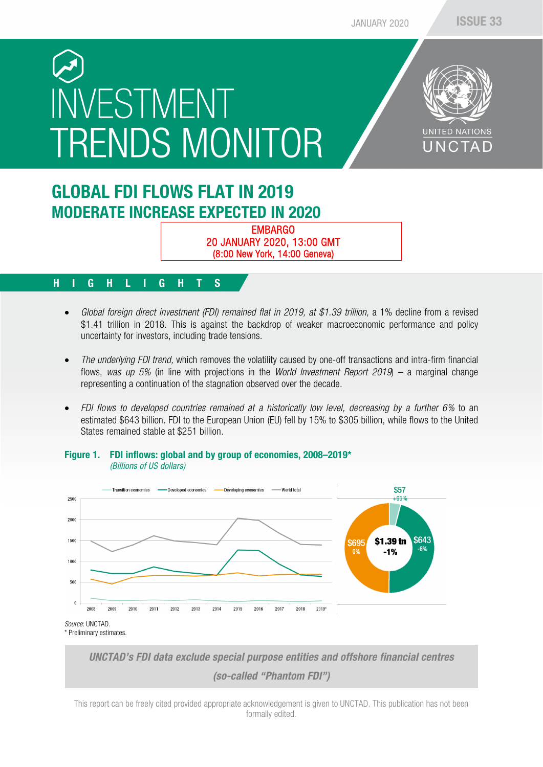# INVESTMENT **TRENDS MONITOR**



# GLOBAL FDI FLOWS FLAT IN 2019 MODERATE INCREASE EXPECTED IN 2020

EMBARGO 20 JANUARY 2020, 13:00 GMT (8:00 New York, 14:00 Geneva)

## HIGHLIGHTS

- *Global foreign direct investment (FDI) remained flat in 2019, at \$1.39 trillion,* a 1% decline from a revised \$1.41 trillion in 2018. This is against the backdrop of weaker macroeconomic performance and policy uncertainty for investors, including trade tensions.
- *The underlying FDI trend,* which removes the volatility caused by one-off transactions and intra-firm financial flows, *was up 5%* (in line with projections in the *World Investment Report 2019*) – a marginal change representing a continuation of the stagnation observed over the decade*.*
- *FDI flows to developed countries remained at a historically low level, decreasing by a further 6%* to an estimated \$643 billion. FDI to the European Union (EU) fell by 15% to \$305 billion, while flows to the United States remained stable at \$251 billion*.*



#### Figure 1. FDI inflows: global and by group of economies, 2008–2019\* *(Billions of US dollars)*

*UNCTAD's FDI data exclude special purpose entities and offshore financial centres (so-called "Phantom FDI")*

This report can be freely cited provided appropriate acknowledgement is given to UNCTAD. This publication has not been formally edited.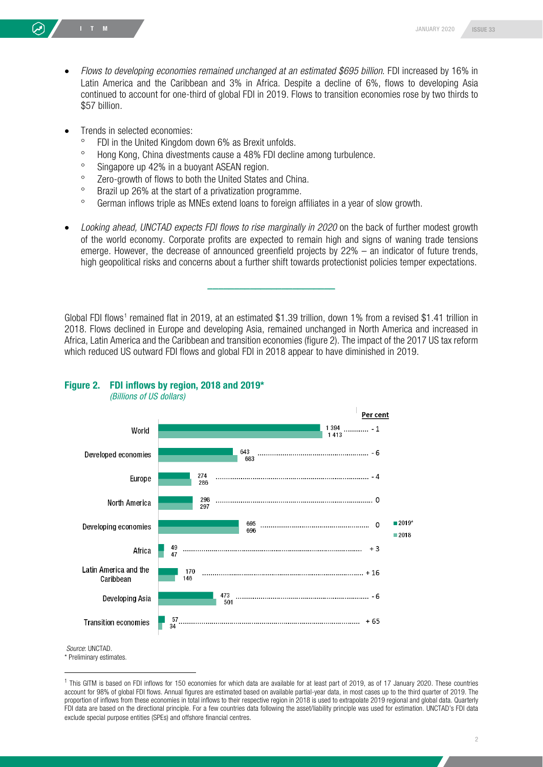- Trends in selected economies:
	- FDI in the United Kingdom down 6% as Brexit unfolds.
	- ° Hong Kong, China divestments cause a 48% FDI decline among turbulence.
	- ° Singapore up 42% in a buoyant ASEAN region.
	- ° Zero-growth of flows to both the United States and China.
	- ° Brazil up 26% at the start of a privatization programme.
	- ° German inflows triple as MNEs extend loans to foreign affiliates in a year of slow growth.
- *Looking ahead, UNCTAD expects FDI flows to rise marginally in 2020* on the back of further modest growth of the world economy. Corporate profits are expected to remain high and signs of waning trade tensions emerge. However, the decrease of announced greenfield projects by 22% – an indicator of future trends, high geopolitical risks and concerns about a further shift towards protectionist policies temper expectations.

\_\_\_\_\_\_\_\_\_\_\_\_\_\_\_\_\_\_\_\_\_\_\_\_

Global FDI flows<sup>[1](#page-1-0)</sup> remained flat in 2019, at an estimated \$1.39 trillion, down 1% from a revised \$1.41 trillion in 2018. Flows declined in Europe and developing Asia, remained unchanged in North America and increased in Africa, Latin America and the Caribbean and transition economies (figure 2). The impact of the 2017 US tax reform which reduced US outward FDI flows and global FDI in 2018 appear to have diminished in 2019.



#### Figure 2. FDI inflows by region, 2018 and 2019\* *(Billions of US dollars)*

\* Preliminary estimates.

*Source*: UNCTAD.

<span id="page-1-0"></span><sup>&</sup>lt;sup>1</sup> This GITM is based on FDI inflows for 150 economies for which data are available for at least part of 2019, as of 17 January 2020. These countries account for 98% of global FDI flows. Annual figures are estimated based on available partial-year data, in most cases up to the third quarter of 2019. The proportion of inflows from these economies in total inflows to their respective region in 2018 is used to extrapolate 2019 regional and global data. Quarterly FDI data are based on the directional principle. For a few countries data following the asset/liability principle was used for estimation. UNCTAD's FDI data exclude special purpose entities (SPEs) and offshore financial centres.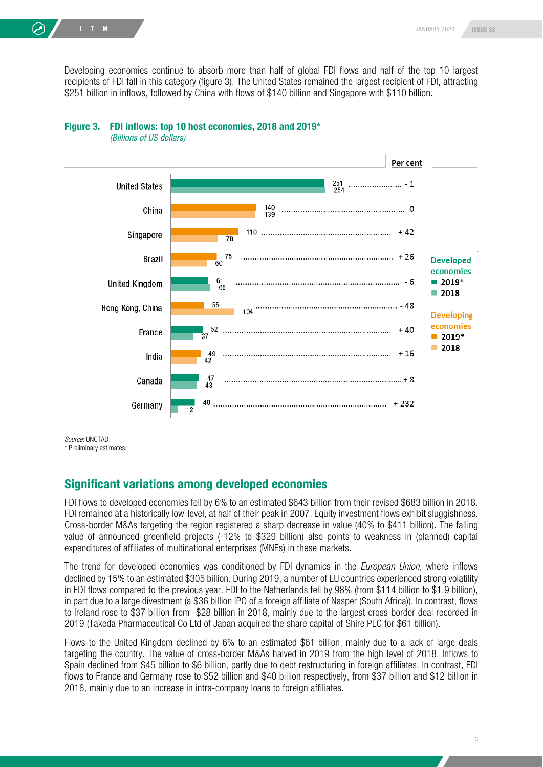Developing economies continue to absorb more than half of global FDI flows and half of the top 10 largest recipients of FDI fall in this category (figure 3). The United States remained the largest recipient of FDI, attracting \$251 billion in inflows, followed by China with flows of \$140 billion and Singapore with \$110 billion.



#### Figure 3. FDI inflows: top 10 host economies, 2018 and 2019\*

*(Billions of US dollars)*

*Source*: UNCTAD. \* Preliminary estimates.

# Significant variations among developed economies

FDI flows to developed economies fell by 6% to an estimated \$643 billion from their revised \$683 billion in 2018. FDI remained at a historically low-level, at half of their peak in 2007. Equity investment flows exhibit sluggishness. Cross-border M&As targeting the region registered a sharp decrease in value (40% to \$411 billion). The falling value of announced greenfield projects (-12% to \$329 billion) also points to weakness in (planned) capital expenditures of affiliates of multinational enterprises (MNEs) in these markets.

The trend for developed economies was conditioned by FDI dynamics in the *European Union*, where inflows declined by 15% to an estimated \$305 billion. During 2019, a number of EU countries experienced strong volatility in FDI flows compared to the previous year. FDI to the Netherlands fell by 98% (from \$114 billion to \$1.9 billion), in part due to a large divestment (a \$36 billion IPO of a foreign affiliate of Nasper (South Africa)). In contrast, flows to Ireland rose to \$37 billion from -\$28 billion in 2018, mainly due to the largest cross-border deal recorded in 2019 (Takeda Pharmaceutical Co Ltd of Japan acquired the share capital of Shire PLC for \$61 billion).

Flows to the United Kingdom declined by 6% to an estimated \$61 billion, mainly due to a lack of large deals targeting the country. The value of cross-border M&As halved in 2019 from the high level of 2018. Inflows to Spain declined from \$45 billion to \$6 billion, partly due to debt restructuring in foreign affiliates. In contrast, FDI flows to France and Germany rose to \$52 billion and \$40 billion respectively, from \$37 billion and \$12 billion in 2018, mainly due to an increase in intra-company loans to foreign affiliates.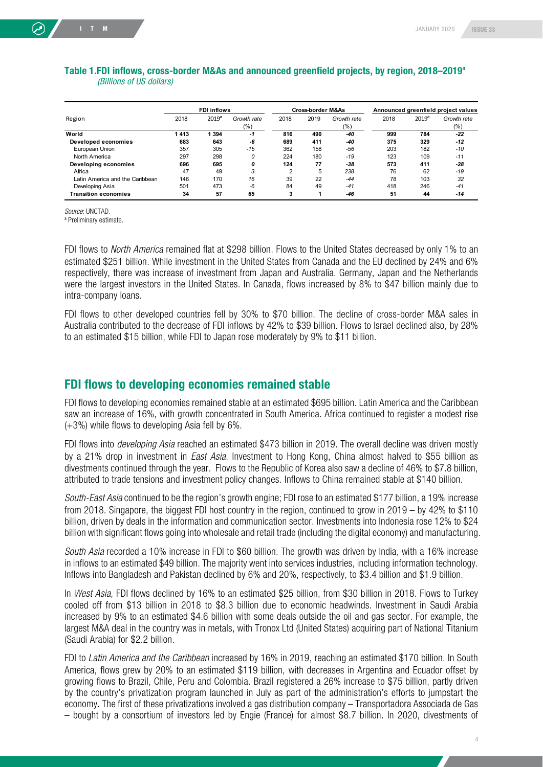$\odot$ 

#### Table 1.FDI inflows, cross-border M&As and announced greenfield projects, by region, 2018–2019<sup>a</sup> *(Billions of US dollars)*

| Region                          | <b>FDI inflows</b> |                   |             | <b>Cross-border M&amp;As</b> |      |             | Announced greenfield project values |                   |             |
|---------------------------------|--------------------|-------------------|-------------|------------------------------|------|-------------|-------------------------------------|-------------------|-------------|
|                                 | 2018               | 2019 <sup>a</sup> | Growth rate | 2018                         | 2019 | Growth rate | 2018                                | 2019 <sup>a</sup> | Growth rate |
|                                 |                    |                   | (9/0)       |                              |      | $(\%)$      |                                     |                   | (%)         |
| World                           | 1413               | 394               | -1          | 816                          | 490  | $-40$       | 999                                 | 784               | -22         |
| Developed economies             | 683                | 643               | -6          | 689                          | 411  | $-40$       | 375                                 | 329               | -12         |
| European Union                  | 357                | 305               | $-15$       | 362                          | 158  | $-56$       | 203                                 | 182               | $-10$       |
| North America                   | 297                | 298               | 0           | 224                          | 180  | $-19$       | 123                                 | 109               | $-11$       |
| Developing economies            | 696                | 695               | 0           | 124                          | 77   | -38         | 573                                 | 411               | -28         |
| Africa                          | 47                 | 49                | 3           | ◠                            | 5    | 238         | 76                                  | 62                | $-19$       |
| Latin America and the Caribbean | 146                | 170               | 16          | 39                           | 22   | $-44$       | 78                                  | 103               | 32          |
| Developing Asia                 | 501                | 473               | -6          | 84                           | 49   | $-41$       | 418                                 | 246               | $-41$       |
| <b>Transition economies</b>     | 34                 | 57                | 65          | 3                            |      | $-46$       | 51                                  | 44                | $-14$       |

*Source*: UNCTAD.

<sup>a</sup> Preliminary estimate.

FDI flows to *North America* remained flat at \$298 billion. Flows to the United States decreased by only 1% to an estimated \$251 billion. While investment in the United States from Canada and the EU declined by 24% and 6% respectively, there was increase of investment from Japan and Australia. Germany, Japan and the Netherlands were the largest investors in the United States. In Canada, flows increased by 8% to \$47 billion mainly due to intra-company loans.

FDI flows to other developed countries fell by 30% to \$70 billion. The decline of cross-border M&A sales in Australia contributed to the decrease of FDI inflows by 42% to \$39 billion. Flows to Israel declined also, by 28% to an estimated \$15 billion, while FDI to Japan rose moderately by 9% to \$11 billion.

#### FDI flows to developing economies remained stable

FDI flows to developing economies remained stable at an estimated \$695 billion. Latin America and the Caribbean saw an increase of 16%, with growth concentrated in South America. Africa continued to register a modest rise (+3%) while flows to developing Asia fell by 6%.

FDI flows into *developing Asia* reached an estimated \$473 billion in 2019. The overall decline was driven mostly by a 21% drop in investment in *East Asia*. Investment to Hong Kong, China almost halved to \$55 billion as divestments continued through the year. Flows to the Republic of Korea also saw a decline of 46% to \$7.8 billion, attributed to trade tensions and investment policy changes. Inflows to China remained stable at \$140 billion.

*South-East Asia* continued to be the region's growth engine; FDI rose to an estimated \$177 billion, a 19% increase from 2018. Singapore, the biggest FDI host country in the region, continued to grow in 2019 – by 42% to \$110 billion, driven by deals in the information and communication sector. Investments into Indonesia rose 12% to \$24 billion with significant flows going into wholesale and retail trade (including the digital economy) and manufacturing.

*South Asia* recorded a 10% increase in FDI to \$60 billion. The growth was driven by India, with a 16% increase in inflows to an estimated \$49 billion. The majority went into services industries, including information technology. Inflows into Bangladesh and Pakistan declined by 6% and 20%, respectively, to \$3.4 billion and \$1.9 billion.

In *West Asia*, FDI flows declined by 16% to an estimated \$25 billion, from \$30 billion in 2018. Flows to Turkey cooled off from \$13 billion in 2018 to \$8.3 billion due to economic headwinds. Investment in Saudi Arabia increased by 9% to an estimated \$4.6 billion with some deals outside the oil and gas sector. For example, the largest M&A deal in the country was in metals, with Tronox Ltd (United States) acquiring part of National Titanium (Saudi Arabia) for \$2.2 billion.

FDI to *Latin America and the Caribbean* increased by 16% in 2019, reaching an estimated \$170 billion. In South America, flows grew by 20% to an estimated \$119 billion, with decreases in Argentina and Ecuador offset by growing flows to Brazil, Chile, Peru and Colombia. Brazil registered a 26% increase to \$75 billion, partly driven by the country's privatization program launched in July as part of the administration's efforts to jumpstart the economy. The first of these privatizations involved a gas distribution company – Transportadora Associada de Gas – bought by a consortium of investors led by Engie (France) for almost \$8.7 billion. In 2020, divestments of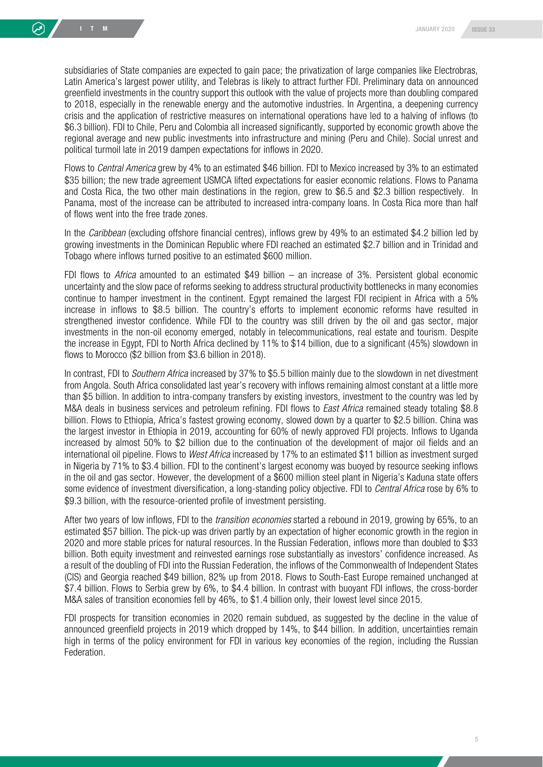subsidiaries of State companies are expected to gain pace; the privatization of large companies like Electrobras, Latin America's largest power utility, and Telebras is likely to attract further FDI. Preliminary data on announced greenfield investments in the country support this outlook with the value of projects more than doubling compared to 2018, especially in the renewable energy and the automotive industries. In Argentina, a deepening currency crisis and the application of restrictive measures on international operations have led to a halving of inflows (to \$6.3 billion). FDI to Chile, Peru and Colombia all increased significantly, supported by economic growth above the regional average and new public investments into infrastructure and mining (Peru and Chile). Social unrest and political turmoil late in 2019 dampen expectations for inflows in 2020.

Flows to *Central America* grew by 4% to an estimated \$46 billion. FDI to Mexico increased by 3% to an estimated \$35 billion; the new trade agreement USMCA lifted expectations for easier economic relations. Flows to Panama and Costa Rica, the two other main destinations in the region, grew to \$6.5 and \$2.3 billion respectively. In Panama, most of the increase can be attributed to increased intra-company loans. In Costa Rica more than half of flows went into the free trade zones.

In the *Caribbean* (excluding offshore financial centres), inflows grew by 49% to an estimated \$4.2 billion led by growing investments in the Dominican Republic where FDI reached an estimated \$2.7 billion and in Trinidad and Tobago where inflows turned positive to an estimated \$600 million.

FDI flows to *Africa* amounted to an estimated \$49 billion – an increase of 3%. Persistent global economic uncertainty and the slow pace of reforms seeking to address structural productivity bottlenecks in many economies continue to hamper investment in the continent. Egypt remained the largest FDI recipient in Africa with a 5% increase in inflows to \$8.5 billion. The country's efforts to implement economic reforms have resulted in strengthened investor confidence. While FDI to the country was still driven by the oil and gas sector, major investments in the non-oil economy emerged, notably in telecommunications, real estate and tourism. Despite the increase in Egypt, FDI to North Africa declined by 11% to \$14 billion, due to a significant (45%) slowdown in flows to Morocco (\$2 billion from \$3.6 billion in 2018).

In contrast, FDI to *Southern Africa* increased by 37% to \$5.5 billion mainly due to the slowdown in net divestment from Angola. South Africa consolidated last year's recovery with inflows remaining almost constant at a little more than \$5 billion. In addition to intra-company transfers by existing investors, investment to the country was led by M&A deals in business services and petroleum refining. FDI flows to *East Africa* remained steady totaling \$8.8 billion. Flows to Ethiopia, Africa's fastest growing economy, slowed down by a quarter to \$2.5 billion. China was the largest investor in Ethiopia in 2019, accounting for 60% of newly approved FDI projects. Inflows to Uganda increased by almost 50% to \$2 billion due to the continuation of the development of major oil fields and an international oil pipeline. Flows to *West Africa* increased by 17% to an estimated \$11 billion as investment surged in Nigeria by 71% to \$3.4 billion. FDI to the continent's largest economy was buoyed by resource seeking inflows in the oil and gas sector. However, the development of a \$600 million steel plant in Nigeria's Kaduna state offers some evidence of investment diversification, a long-standing policy objective. FDI to *Central Africa* rose by 6% to \$9.3 billion, with the resource-oriented profile of investment persisting.

After two years of low inflows, FDI to the *transition economies* started a rebound in 2019, growing by 65%, to an estimated \$57 billion. The pick-up was driven partly by an expectation of higher economic growth in the region in 2020 and more stable prices for natural resources. In the Russian Federation, inflows more than doubled to \$33 billion. Both equity investment and reinvested earnings rose substantially as investors' confidence increased. As a result of the doubling of FDI into the Russian Federation, the inflows of the Commonwealth of Independent States (CIS) and Georgia reached \$49 billion, 82% up from 2018. Flows to South-East Europe remained unchanged at \$7.4 billion. Flows to Serbia grew by 6%, to \$4.4 billion. In contrast with buoyant FDI inflows, the cross-border M&A sales of transition economies fell by 46%, to \$1.4 billion only, their lowest level since 2015.

FDI prospects for transition economies in 2020 remain subdued, as suggested by the decline in the value of announced greenfield projects in 2019 which dropped by 14%, to \$44 billion. In addition, uncertainties remain high in terms of the policy environment for FDI in various key economies of the region, including the Russian Federation.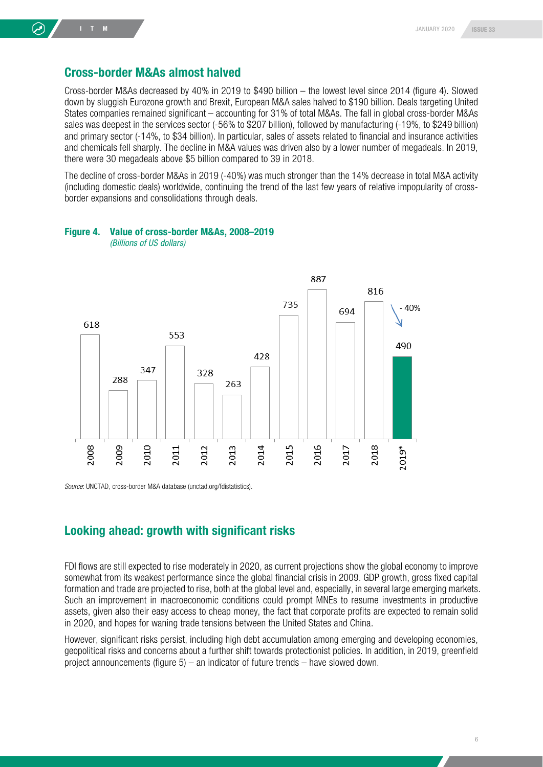Cross-border M&As decreased by 40% in 2019 to \$490 billion – the lowest level since 2014 (figure 4). Slowed down by sluggish Eurozone growth and Brexit, European M&A sales halved to \$190 billion. Deals targeting United States companies remained significant – accounting for 31% of total M&As. The fall in global cross-border M&As sales was deepest in the services sector (-56% to \$207 billion), followed by manufacturing (-19%, to \$249 billion) and primary sector (-14%, to \$34 billion). In particular, sales of assets related to financial and insurance activities and chemicals fell sharply. The decline in M&A values was driven also by a lower number of megadeals. In 2019, there were 30 megadeals above \$5 billion compared to 39 in 2018.

The decline of cross-border M&As in 2019 (-40%) was much stronger than the 14% decrease in total M&A activity (including domestic deals) worldwide, continuing the trend of the last few years of relative impopularity of crossborder expansions and consolidations through deals.

#### Figure 4. Value of cross-border M&As, 2008–2019

*(Billions of US dollars)*



*Source*: UNCTAD, cross-border M&A database (unctad.org/fdistatistics).

## Looking ahead: growth with significant risks

FDI flows are still expected to rise moderately in 2020, as current projections show the global economy to improve somewhat from its weakest performance since the global financial crisis in 2009. GDP growth, gross fixed capital formation and trade are projected to rise, both at the global level and, especially, in several large emerging markets. Such an improvement in macroeconomic conditions could prompt MNEs to resume investments in productive assets, given also their easy access to cheap money, the fact that corporate profits are expected to remain solid in 2020, and hopes for waning trade tensions between the United States and China.

However, significant risks persist, including high debt accumulation among emerging and developing economies, geopolitical risks and concerns about a further shift towards protectionist policies. In addition, in 2019, greenfield project announcements (figure 5) – an indicator of future trends – have slowed down.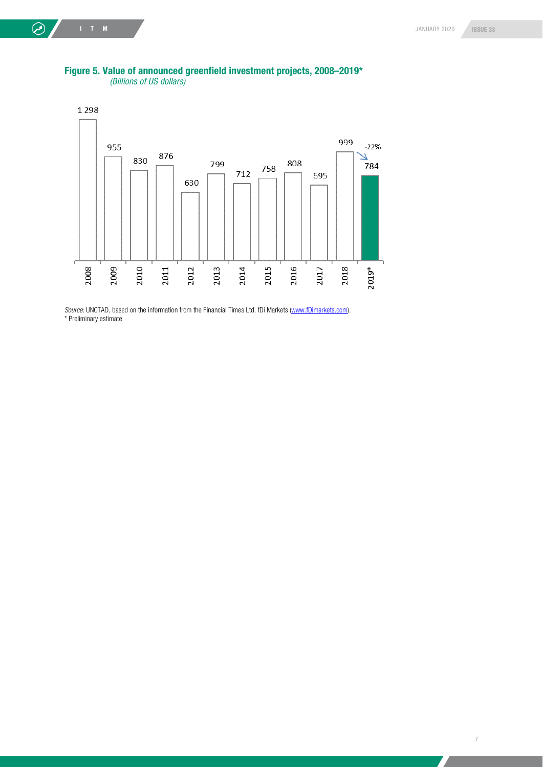



*Source*: UNCTAD, based on the information from the Financial Times Ltd, fDi Markets [\(www.fDimarkets.com\)](http://www.fdimarkets.com/). \* Preliminary estimate